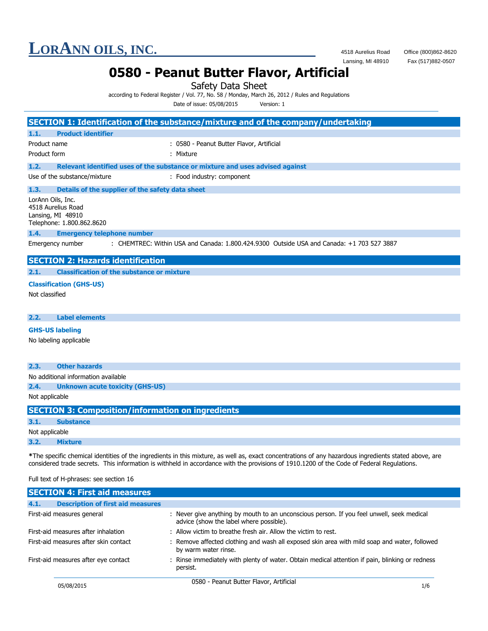Fax (517)882-0507

### **0580 - Peanut Butter Flavor, Artificial**

Safety Data Sheet

according to Federal Register / Vol. 77, No. 58 / Monday, March 26, 2012 / Rules and Regulations

Date of issue: 05/08/2015 Version: 1

|                        |                                                                      | SECTION 1: Identification of the substance/mixture and of the company/undertaking         |
|------------------------|----------------------------------------------------------------------|-------------------------------------------------------------------------------------------|
| 1.1.                   | <b>Product identifier</b>                                            |                                                                                           |
| Product name           |                                                                      |                                                                                           |
|                        |                                                                      | : 0580 - Peanut Butter Flavor, Artificial                                                 |
| Product form           |                                                                      | : Mixture                                                                                 |
| 1.2.                   |                                                                      | Relevant identified uses of the substance or mixture and uses advised against             |
|                        | Use of the substance/mixture                                         | : Food industry: component                                                                |
| 1.3.                   | Details of the supplier of the safety data sheet                     |                                                                                           |
| LorAnn Oils, Inc.      | 4518 Aurelius Road<br>Lansing, MI 48910<br>Telephone: 1.800.862.8620 |                                                                                           |
| 1.4.                   | <b>Emergency telephone number</b>                                    |                                                                                           |
|                        | Emergency number                                                     | : CHEMTREC: Within USA and Canada: 1.800.424.9300 Outside USA and Canada: +1 703 527 3887 |
|                        | <b>SECTION 2: Hazards identification</b>                             |                                                                                           |
|                        |                                                                      |                                                                                           |
|                        |                                                                      |                                                                                           |
| 2.1.                   | <b>Classification of the substance or mixture</b>                    |                                                                                           |
|                        | <b>Classification (GHS-US)</b>                                       |                                                                                           |
| Not classified         |                                                                      |                                                                                           |
| 2.2.                   | <b>Label elements</b>                                                |                                                                                           |
|                        |                                                                      |                                                                                           |
|                        | <b>GHS-US labeling</b>                                               |                                                                                           |
|                        | No labeling applicable                                               |                                                                                           |
| 2.3.                   | <b>Other hazards</b>                                                 |                                                                                           |
|                        | No additional information available                                  |                                                                                           |
| 2.4.<br>Not applicable | <b>Unknown acute toxicity (GHS-US)</b>                               |                                                                                           |

| <b>SECTION 3: Composition/information on ingredients</b> |                  |  |
|----------------------------------------------------------|------------------|--|
| 3.1.                                                     | <b>Substance</b> |  |
| Not applicable                                           |                  |  |
| 3.2.                                                     | <b>Mixture</b>   |  |

**\***The specific chemical identities of the ingredients in this mixture, as well as, exact concentrations of any hazardous ingredients stated above, are considered trade secrets. This information is withheld in accordance with the provisions of 1910.1200 of the Code of Federal Regulations.

#### Full text of H-phrases: see section 16

| <b>SECTION 4: First aid measures</b>             |                                                                                                                                      |
|--------------------------------------------------|--------------------------------------------------------------------------------------------------------------------------------------|
| <b>Description of first aid measures</b><br>4.1. |                                                                                                                                      |
| First-aid measures general                       | : Never give anything by mouth to an unconscious person. If you feel unwell, seek medical<br>advice (show the label where possible). |
| First-aid measures after inhalation              | : Allow victim to breathe fresh air. Allow the victim to rest.                                                                       |
| First-aid measures after skin contact            | : Remove affected clothing and wash all exposed skin area with mild soap and water, followed<br>by warm water rinse.                 |
| First-aid measures after eye contact             | : Rinse immediately with plenty of water. Obtain medical attention if pain, blinking or redness<br>persist.                          |
| 05/08/2015                                       | 0580 - Peanut Butter Flavor, Artificial<br>1/6                                                                                       |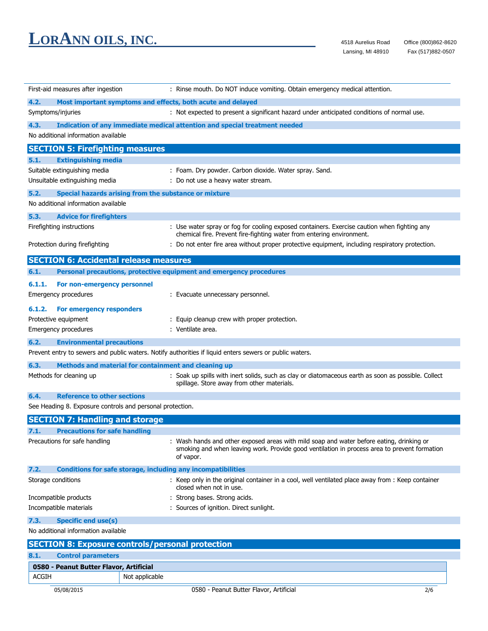| First-aid measures after ingestion                         | : Rinse mouth. Do NOT induce vomiting. Obtain emergency medical attention.                                                                                                                            |
|------------------------------------------------------------|-------------------------------------------------------------------------------------------------------------------------------------------------------------------------------------------------------|
| 4.2.                                                       | Most important symptoms and effects, both acute and delayed                                                                                                                                           |
| Symptoms/injuries                                          | : Not expected to present a significant hazard under anticipated conditions of normal use.                                                                                                            |
| 4.3.                                                       | Indication of any immediate medical attention and special treatment needed                                                                                                                            |
| No additional information available                        |                                                                                                                                                                                                       |
| <b>SECTION 5: Firefighting measures</b>                    |                                                                                                                                                                                                       |
| 5.1.<br><b>Extinguishing media</b>                         |                                                                                                                                                                                                       |
| Suitable extinguishing media                               | : Foam. Dry powder. Carbon dioxide. Water spray. Sand.                                                                                                                                                |
| Unsuitable extinguishing media                             | : Do not use a heavy water stream.                                                                                                                                                                    |
| 5.2.                                                       | Special hazards arising from the substance or mixture                                                                                                                                                 |
| No additional information available                        |                                                                                                                                                                                                       |
| 5.3.<br><b>Advice for firefighters</b>                     |                                                                                                                                                                                                       |
| Firefighting instructions                                  | : Use water spray or fog for cooling exposed containers. Exercise caution when fighting any<br>chemical fire. Prevent fire-fighting water from entering environment.                                  |
| Protection during firefighting                             | : Do not enter fire area without proper protective equipment, including respiratory protection.                                                                                                       |
| <b>SECTION 6: Accidental release measures</b>              |                                                                                                                                                                                                       |
| 6.1.                                                       | Personal precautions, protective equipment and emergency procedures                                                                                                                                   |
| 6.1.1.<br>For non-emergency personnel                      |                                                                                                                                                                                                       |
| <b>Emergency procedures</b>                                | : Evacuate unnecessary personnel.                                                                                                                                                                     |
|                                                            |                                                                                                                                                                                                       |
| 6.1.2.<br>For emergency responders<br>Protective equipment | : Equip cleanup crew with proper protection.                                                                                                                                                          |
| Emergency procedures                                       | : Ventilate area.                                                                                                                                                                                     |
|                                                            |                                                                                                                                                                                                       |
| 6.2.<br><b>Environmental precautions</b>                   | Prevent entry to sewers and public waters. Notify authorities if liquid enters sewers or public waters.                                                                                               |
|                                                            |                                                                                                                                                                                                       |
| 6.3.                                                       | Methods and material for containment and cleaning up                                                                                                                                                  |
| Methods for cleaning up                                    | : Soak up spills with inert solids, such as clay or diatomaceous earth as soon as possible. Collect<br>spillage. Store away from other materials.                                                     |
| <b>Reference to other sections</b><br>6.4.                 |                                                                                                                                                                                                       |
| See Heading 8. Exposure controls and personal protection.  |                                                                                                                                                                                                       |
| <b>SECTION 7: Handling and storage</b>                     |                                                                                                                                                                                                       |
| 7.1.<br><b>Precautions for safe handling</b>               |                                                                                                                                                                                                       |
| Precautions for safe handling                              | : Wash hands and other exposed areas with mild soap and water before eating, drinking or<br>smoking and when leaving work. Provide good ventilation in process area to prevent formation<br>of vapor. |
| 7.2.                                                       | <b>Conditions for safe storage, including any incompatibilities</b>                                                                                                                                   |
| Storage conditions                                         | : Keep only in the original container in a cool, well ventilated place away from : Keep container<br>closed when not in use.                                                                          |
| Incompatible products                                      | : Strong bases. Strong acids.                                                                                                                                                                         |
| Incompatible materials                                     | : Sources of ignition. Direct sunlight.                                                                                                                                                               |
| 7.3.<br><b>Specific end use(s)</b>                         |                                                                                                                                                                                                       |
| No additional information available                        |                                                                                                                                                                                                       |
| <b>SECTION 8: Exposure controls/personal protection</b>    |                                                                                                                                                                                                       |
| <b>Control parameters</b><br>8.1.                          |                                                                                                                                                                                                       |
| 0580 - Peanut Butter Flavor, Artificial                    |                                                                                                                                                                                                       |
| <b>ACGIH</b>                                               | Not applicable                                                                                                                                                                                        |
|                                                            |                                                                                                                                                                                                       |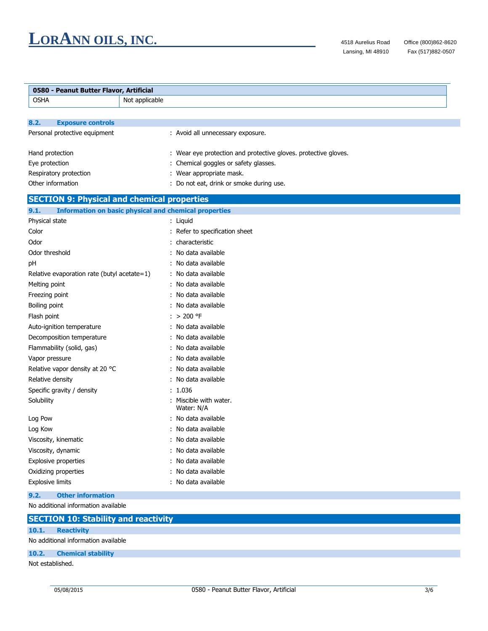$\overline{a}$ 

| 0580 - Peanut Butter Flavor, Artificial            |                                                                      |
|----------------------------------------------------|----------------------------------------------------------------------|
| <b>OSHA</b>                                        | Not applicable                                                       |
|                                                    |                                                                      |
| <b>Exposure controls</b><br>8.2.                   |                                                                      |
| Personal protective equipment                      | : Avoid all unnecessary exposure.                                    |
|                                                    |                                                                      |
| Hand protection                                    | : Wear eye protection and protective gloves. protective gloves.      |
| Eye protection                                     | : Chemical goggles or safety glasses.                                |
| Respiratory protection<br>Other information        | : Wear appropriate mask.<br>: Do not eat, drink or smoke during use. |
|                                                    |                                                                      |
| <b>SECTION 9: Physical and chemical properties</b> |                                                                      |
| 9.1.                                               | <b>Information on basic physical and chemical properties</b>         |
| Physical state                                     | : Liquid                                                             |
| Color                                              | : Refer to specification sheet                                       |
| Odor                                               | : characteristic                                                     |
| Odor threshold                                     | No data available                                                    |
| pH                                                 | : No data available                                                  |
| Relative evaporation rate (butyl acetate=1)        | : No data available                                                  |
| Melting point                                      | : No data available                                                  |
| Freezing point                                     | : No data available                                                  |
| Boiling point                                      | : No data available                                                  |
| Flash point                                        | $: > 200$ °F                                                         |
| Auto-ignition temperature                          | : No data available                                                  |
| Decomposition temperature                          | : No data available                                                  |
| Flammability (solid, gas)                          | : No data available                                                  |
| Vapor pressure                                     | No data available                                                    |
| Relative vapor density at 20 °C                    | No data available                                                    |
| Relative density                                   | : No data available                                                  |
| Specific gravity / density                         | : 1.036                                                              |
| Solubility                                         | : Miscible with water.<br>Water: N/A                                 |
| Log Pow                                            | : No data available                                                  |
| Log Kow                                            | : No data available                                                  |
| Viscosity, kinematic                               | : No data available                                                  |
| Viscosity, dynamic                                 | No data available                                                    |
| <b>Explosive properties</b>                        | : No data available                                                  |
| Oxidizing properties                               | : No data available                                                  |
| <b>Explosive limits</b>                            | : No data available                                                  |
| <b>Other information</b><br>9.2.                   |                                                                      |
| No additional information available                |                                                                      |
| <b>SECTION 10: Stability and reactivity</b>        |                                                                      |
| <b>Reactivity</b><br>10.1.                         |                                                                      |
| No additional information available                |                                                                      |

#### **10.2. Chemical stability**

Not established.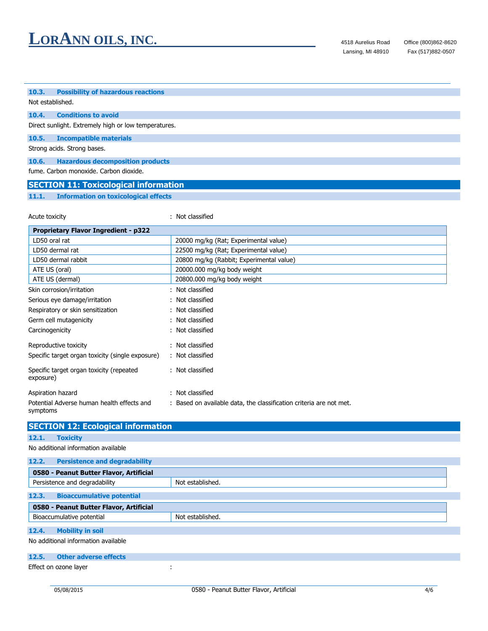#### **10.3. Possibility of hazardous reactions** Not established. **10.4. Conditions to avoid** Direct sunlight. Extremely high or low temperatures. **10.5. Incompatible materials** Strong acids. Strong bases. **10.6. Hazardous decomposition products** fume. Carbon monoxide. Carbon dioxide. **SECTION 11: Toxicological information**

**11.1. Information on toxicological effects**

| Acute toxicity                                         | : Not classified                                                    |
|--------------------------------------------------------|---------------------------------------------------------------------|
| <b>Proprietary Flavor Ingredient - p322</b>            |                                                                     |
| LD50 oral rat                                          | 20000 mg/kg (Rat; Experimental value)                               |
| LD50 dermal rat                                        | 22500 mg/kg (Rat; Experimental value)                               |
| LD50 dermal rabbit                                     | 20800 mg/kg (Rabbit; Experimental value)                            |
| ATE US (oral)                                          | 20000.000 mg/kg body weight                                         |
| ATE US (dermal)                                        | 20800.000 mg/kg body weight                                         |
| Skin corrosion/irritation                              | : Not classified                                                    |
| Serious eye damage/irritation                          | : Not classified                                                    |
| Respiratory or skin sensitization                      | : Not classified                                                    |
| Germ cell mutagenicity                                 | : Not classified                                                    |
| Carcinogenicity                                        | : Not classified                                                    |
| Reproductive toxicity                                  | : Not classified                                                    |
| Specific target organ toxicity (single exposure)       | : Not classified                                                    |
| Specific target organ toxicity (repeated<br>exposure)  | : Not classified                                                    |
| Aspiration hazard                                      | : Not classified                                                    |
| Potential Adverse human health effects and<br>symptoms | : Based on available data, the classification criteria are not met. |

|       | <b>SECTION 12: Ecological information</b> |                  |
|-------|-------------------------------------------|------------------|
| 12.1. | <b>Toxicity</b>                           |                  |
|       | No additional information available       |                  |
| 12.2. | <b>Persistence and degradability</b>      |                  |
|       | 0580 - Peanut Butter Flavor, Artificial   |                  |
|       | Persistence and degradability             | Not established. |
| 12.3. | <b>Bioaccumulative potential</b>          |                  |
|       | 0580 - Peanut Butter Flavor, Artificial   |                  |
|       | Bioaccumulative potential                 | Not established. |
| 12.4. | <b>Mobility in soil</b>                   |                  |
|       | No additional information available       |                  |
| 12.5. | <b>Other adverse effects</b>              |                  |

Effect on ozone layer in the set of the set of the set of the set of the set of the set of the set of the set of the set of the set of the set of the set of the set of the set of the set of the set of the set of the set of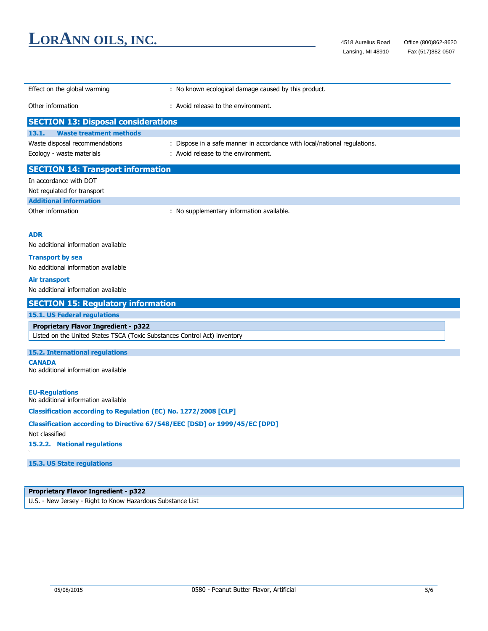| Effect on the global warming                                               | : No known ecological damage caused by this product.                      |
|----------------------------------------------------------------------------|---------------------------------------------------------------------------|
| Other information                                                          | : Avoid release to the environment.                                       |
| <b>SECTION 13: Disposal considerations</b>                                 |                                                                           |
| <b>Waste treatment methods</b><br>13.1.                                    |                                                                           |
| Waste disposal recommendations                                             | : Dispose in a safe manner in accordance with local/national regulations. |
| Ecology - waste materials                                                  | : Avoid release to the environment.                                       |
| <b>SECTION 14: Transport information</b>                                   |                                                                           |
| In accordance with DOT                                                     |                                                                           |
| Not regulated for transport                                                |                                                                           |
| <b>Additional information</b>                                              |                                                                           |
| Other information                                                          | : No supplementary information available.                                 |
| <b>ADR</b>                                                                 |                                                                           |
| No additional information available                                        |                                                                           |
| <b>Transport by sea</b>                                                    |                                                                           |
| No additional information available                                        |                                                                           |
| Air transport                                                              |                                                                           |
| No additional information available                                        |                                                                           |
| <b>SECTION 15: Regulatory information</b>                                  |                                                                           |
| 15.1. US Federal regulations                                               |                                                                           |
| <b>Proprietary Flavor Ingredient - p322</b>                                |                                                                           |
| Listed on the United States TSCA (Toxic Substances Control Act) inventory  |                                                                           |
| <b>15.2. International regulations</b>                                     |                                                                           |
| <b>CANADA</b>                                                              |                                                                           |
| No additional information available                                        |                                                                           |
| <b>EU-Regulations</b>                                                      |                                                                           |
| No additional information available                                        |                                                                           |
| <b>Classification according to Regulation (EC) No. 1272/2008 [CLP]</b>     |                                                                           |
| Classification according to Directive 67/548/EEC [DSD] or 1999/45/EC [DPD] |                                                                           |
| Not classified                                                             |                                                                           |
| 15.2.2. National regulations                                               |                                                                           |
| 15.3. US State regulations                                                 |                                                                           |
|                                                                            |                                                                           |
|                                                                            |                                                                           |
| <b>Proprietary Flavor Ingredient - p322</b>                                |                                                                           |

U.S. - New Jersey - Right to Know Hazardous Substance List